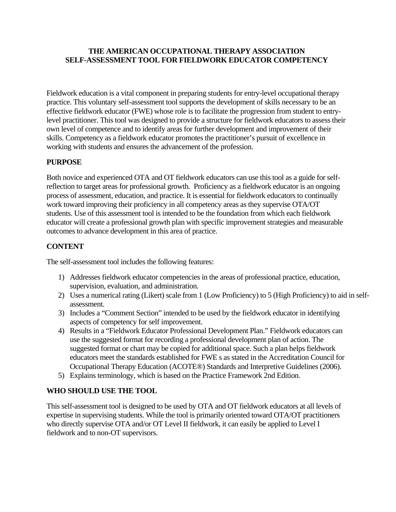## **THE AMERICAN OCCUPATIONAL THERAPY ASSOCIATION SELF-ASSESSMENT TOOL FOR FIELDWORK EDUCATOR COMPETENCY**

Fieldwork education is a vital component in preparing students for entry-level occupational therapy practice. This voluntary self-assessment tool supports the development of skills necessary to be an effective fieldwork educator (FWE) whose role is to facilitate the progression from student to entrylevel practitioner. This tool was designed to provide a structure for fieldwork educators to assess their own level of competence and to identify areas for further development and improvement of their skills. Competency as a fieldwork educator promotes the practitioner's pursuit of excellence in working with students and ensures the advancement of the profession.

# **PURPOSE**

Both novice and experienced OTA and OT fieldwork educators can use this tool as a guide for selfreflection to target areas for professional growth. Proficiency as a fieldwork educator is an ongoing process of assessment, education, and practice. It is essential for fieldwork educators to continually work toward improving their proficiency in all competency areas as they supervise OTA/OT students. Use of this assessment tool is intended to be the foundation from which each fieldwork educator will create a professional growth plan with specific improvement strategies and measurable outcomes to advance development in this area of practice.

# **CONTENT**

The self-assessment tool includes the following features:

- 1) Addresses fieldwork educator competencies in the areas of professional practice, education, supervision, evaluation, and administration.
- 2) Uses a numerical rating (Likert) scale from 1 (Low Proficiency) to 5 (High Proficiency) to aid in selfassessment.
- 3) Includes a "Comment Section" intended to be used by the fieldwork educator in identifying aspects of competency for self improvement.
- 4) Results in a "Fieldwork Educator Professional Development Plan." Fieldwork educators can use the suggested format for recording a professional development plan of action. The suggested format or chart may be copied for additional space. Such a plan helps fieldwork educators meet the standards established for FWE s as stated in the Accreditation Council for Occupational Therapy Education (ACOTE®) Standards and Interpretive Guidelines (2006).
- 5) Explains terminology, which is based on the Practice Framework 2nd Edition.

# **WHO SHOULD USE THE TOOL**

This self-assessment tool is designed to be used by OTA and OT fieldwork educators at all levels of expertise in supervising students. While the tool is primarily oriented toward OTA/OT practitioners who directly supervise OTA and/or OT Level II fieldwork, it can easily be applied to Level I fieldwork and to non-OT supervisors.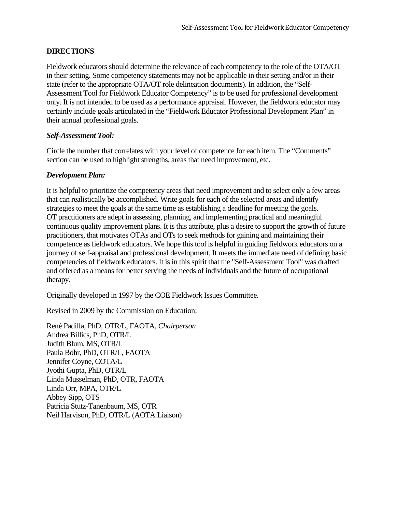## **DIRECTIONS**

Fieldwork educators should determine the relevance of each competency to the role of the OTA/OT in their setting. Some competency statements may not be applicable in their setting and/or in their state (refer to the appropriate OTA/OT role delineation documents). In addition, the "Self-Assessment Tool for Fieldwork Educator Competency" is to be used for professional development only. It is not intended to be used as a performance appraisal. However, the fieldwork educator may certainly include goals articulated in the "Fieldwork Educator Professional Development Plan" in their annual professional goals.

#### *Self-Assessment Tool:*

Circle the number that correlates with your level of competence for each item. The "Comments" section can be used to highlight strengths, areas that need improvement, etc.

#### *Development Plan:*

It is helpful to prioritize the competency areas that need improvement and to select only a few areas that can realistically be accomplished. Write goals for each of the selected areas and identify strategies to meet the goals at the same time as establishing a deadline for meeting the goals. OT practitioners are adept in assessing, planning, and implementing practical and meaningful continuous quality improvement plans. It is this attribute, plus a desire to support the growth of future practitioners, that motivates OTAs and OTs to seek methods for gaining and maintaining their competence as fieldwork educators. We hope this tool is helpful in guiding fieldwork educators on a journey of self-appraisal and professional development. It meets the immediate need of defining basic competencies of fieldwork educators. It is in this spirit that the "Self-Assessment Tool" was drafted and offered as a means for better serving the needs of individuals and the future of occupational therapy.

Originally developed in 1997 by the COE Fieldwork Issues Committee.

Revised in 2009 by the Commission on Education:

René Padilla, PhD, OTR/L, FAOTA, *Chairperson*  Andrea Billics, PhD, OTR/L Judith Blum, MS, OTR/L Paula Bohr, PhD, OTR/L, FAOTA Jennifer Coyne, COTA/L Jyothi Gupta, PhD, OTR/L Linda Musselman, PhD, OTR, FAOTA Linda Orr, MPA, OTR/L Abbey Sipp, OTS Patricia Stutz-Tanenbaum, MS, OTR Neil Harvison, PhD, OTR/L (AOTA Liaison)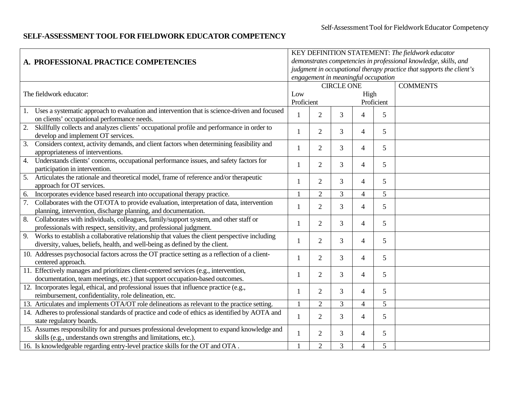# **SELF-ASSESSMENT TOOL FOR FIELDWORK EDUCATOR COMPETENCY**

|                                                                                                                                        | KEY DEFINITION STATEMENT: The fieldwork educator                     |                |                   |                |            |                                                                  |  |  |
|----------------------------------------------------------------------------------------------------------------------------------------|----------------------------------------------------------------------|----------------|-------------------|----------------|------------|------------------------------------------------------------------|--|--|
| A. PROFESSIONAL PRACTICE COMPETENCIES                                                                                                  |                                                                      |                |                   |                |            | demonstrates competencies in professional knowledge, skills, and |  |  |
|                                                                                                                                        | judgment in occupational therapy practice that supports the client's |                |                   |                |            |                                                                  |  |  |
|                                                                                                                                        | engagement in meaningful occupation                                  |                |                   |                |            |                                                                  |  |  |
|                                                                                                                                        |                                                                      |                | <b>CIRCLE ONE</b> |                |            | <b>COMMENTS</b>                                                  |  |  |
| The fieldwork educator:                                                                                                                | Low                                                                  |                |                   | High           |            |                                                                  |  |  |
|                                                                                                                                        | Proficient                                                           |                |                   |                | Proficient |                                                                  |  |  |
| 1. Uses a systematic approach to evaluation and intervention that is science-driven and focused                                        |                                                                      |                |                   |                |            |                                                                  |  |  |
| on clients' occupational performance needs.                                                                                            |                                                                      | $\overline{2}$ | 3                 | $\overline{4}$ | 5          |                                                                  |  |  |
| Skillfully collects and analyzes clients' occupational profile and performance in order to<br>2.<br>develop and implement OT services. |                                                                      | $\overline{2}$ | 3                 | $\overline{4}$ | 5          |                                                                  |  |  |
| Considers context, activity demands, and client factors when determining feasibility and<br>3.                                         |                                                                      |                |                   |                |            |                                                                  |  |  |
| appropriateness of interventions.                                                                                                      |                                                                      | $\overline{2}$ | 3                 | $\overline{4}$ | 5          |                                                                  |  |  |
| Understands clients' concerns, occupational performance issues, and safety factors for<br>4.                                           |                                                                      | $\overline{2}$ | $\overline{3}$    | $\overline{4}$ | 5          |                                                                  |  |  |
| participation in intervention.                                                                                                         |                                                                      |                |                   |                |            |                                                                  |  |  |
| 5.<br>Articulates the rationale and theoretical model, frame of reference and/or therapeutic                                           |                                                                      | $\overline{2}$ | 3                 | $\overline{4}$ | 5          |                                                                  |  |  |
| approach for OT services.                                                                                                              |                                                                      |                | 3                 |                |            |                                                                  |  |  |
| Incorporates evidence based research into occupational therapy practice.<br>6.                                                         |                                                                      | $\overline{2}$ |                   | 4              | 5          |                                                                  |  |  |
| Collaborates with the OT/OTA to provide evaluation, interpretation of data, intervention<br>7.                                         |                                                                      | $\overline{2}$ | 3                 | $\overline{4}$ | 5          |                                                                  |  |  |
| planning, intervention, discharge planning, and documentation.                                                                         |                                                                      |                |                   |                |            |                                                                  |  |  |
| Collaborates with individuals, colleagues, family/support system, and other staff or<br>8.                                             |                                                                      | $\overline{2}$ | 3                 | $\overline{4}$ | 5          |                                                                  |  |  |
| professionals with respect, sensitivity, and professional judgment.                                                                    |                                                                      |                |                   |                |            |                                                                  |  |  |
| Works to establish a collaborative relationship that values the client perspective including<br>9.                                     |                                                                      | 2              | 3                 | $\overline{4}$ | 5          |                                                                  |  |  |
| diversity, values, beliefs, health, and well-being as defined by the client.                                                           |                                                                      |                |                   |                |            |                                                                  |  |  |
| 10. Addresses psychosocial factors across the OT practice setting as a reflection of a client-                                         |                                                                      | $\overline{2}$ |                   |                |            |                                                                  |  |  |
| centered approach.                                                                                                                     |                                                                      |                | 3                 | $\overline{4}$ | 5          |                                                                  |  |  |
| 11. Effectively manages and prioritizes client-centered services (e.g., intervention,                                                  |                                                                      | $\overline{2}$ | $\overline{3}$    | $\overline{4}$ | 5          |                                                                  |  |  |
| documentation, team meetings, etc.) that support occupation-based outcomes.                                                            |                                                                      |                |                   |                |            |                                                                  |  |  |
| 12. Incorporates legal, ethical, and professional issues that influence practice (e.g.,                                                |                                                                      | $\overline{2}$ | 3                 | $\overline{4}$ | 5          |                                                                  |  |  |
| reimbursement, confidentiality, role delineation, etc.                                                                                 |                                                                      |                |                   |                |            |                                                                  |  |  |
| 13. Articulates and implements OTA/OT role delineations as relevant to the practice setting.                                           |                                                                      | $\overline{2}$ | 3                 | $\overline{4}$ | 5          |                                                                  |  |  |
| 14. Adheres to professional standards of practice and code of ethics as identified by AOTA and                                         |                                                                      | $\overline{2}$ | 3                 | $\overline{4}$ | 5          |                                                                  |  |  |
| state regulatory boards.                                                                                                               |                                                                      |                |                   |                |            |                                                                  |  |  |
| 15. Assumes responsibility for and pursues professional development to expand knowledge and                                            |                                                                      | $\overline{2}$ | 3                 | $\overline{4}$ | 5          |                                                                  |  |  |
| skills (e.g., understands own strengths and limitations, etc.).                                                                        |                                                                      |                |                   |                |            |                                                                  |  |  |
| 16. Is knowledgeable regarding entry-level practice skills for the OT and OTA.                                                         |                                                                      | $\overline{2}$ | 3                 | $\overline{4}$ | 5          |                                                                  |  |  |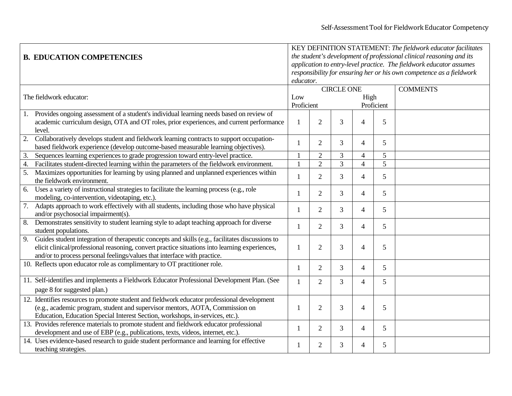|                  | <b>B. EDUCATION COMPETENCIES</b>                                                                   | KEY DEFINITION STATEMENT: The fieldwork educator facilitates<br>the student's development of professional clinical reasoning and its<br>application to entry-level practice. The fieldwork educator assumes<br>responsibility for ensuring her or his own competence as a fieldwork<br>educator. |                |                   |                |            |                 |  |  |
|------------------|----------------------------------------------------------------------------------------------------|--------------------------------------------------------------------------------------------------------------------------------------------------------------------------------------------------------------------------------------------------------------------------------------------------|----------------|-------------------|----------------|------------|-----------------|--|--|
|                  |                                                                                                    |                                                                                                                                                                                                                                                                                                  |                | <b>CIRCLE ONE</b> |                |            | <b>COMMENTS</b> |  |  |
|                  | The fieldwork educator:                                                                            | Low                                                                                                                                                                                                                                                                                              |                |                   | High           |            |                 |  |  |
|                  |                                                                                                    |                                                                                                                                                                                                                                                                                                  | Proficient     |                   |                | Proficient |                 |  |  |
| 1.               | Provides ongoing assessment of a student's individual learning needs based on review of            |                                                                                                                                                                                                                                                                                                  |                |                   |                |            |                 |  |  |
|                  | academic curriculum design, OTA and OT roles, prior experiences, and current performance<br>level. | 1                                                                                                                                                                                                                                                                                                | $\overline{2}$ | 3                 | $\overline{4}$ | 5          |                 |  |  |
| $\overline{2}$ . | Collaboratively develops student and fieldwork learning contracts to support occupation-           |                                                                                                                                                                                                                                                                                                  |                |                   |                |            |                 |  |  |
|                  | based fieldwork experience (develop outcome-based measurable learning objectives).                 | 1                                                                                                                                                                                                                                                                                                | $\overline{2}$ | 3                 | $\overline{4}$ | 5          |                 |  |  |
| 3.               | Sequences learning experiences to grade progression toward entry-level practice.                   | $\mathbf{1}$                                                                                                                                                                                                                                                                                     | $\overline{2}$ | 3                 | $\overline{4}$ | 5          |                 |  |  |
| $\overline{4}$ . | Facilitates student-directed learning within the parameters of the fieldwork environment.          | $\mathbf{1}$                                                                                                                                                                                                                                                                                     | $\overline{2}$ | $\overline{3}$    | $\overline{4}$ | 5          |                 |  |  |
| 5.               | Maximizes opportunities for learning by using planned and unplanned experiences within             |                                                                                                                                                                                                                                                                                                  |                |                   |                |            |                 |  |  |
|                  | the fieldwork environment.                                                                         | 1                                                                                                                                                                                                                                                                                                | $\overline{2}$ | 3                 | $\overline{4}$ | 5          |                 |  |  |
| 6.               | Uses a variety of instructional strategies to facilitate the learning process (e.g., role          |                                                                                                                                                                                                                                                                                                  |                |                   |                |            |                 |  |  |
|                  | modeling, co-intervention, videotaping, etc.).                                                     | 1                                                                                                                                                                                                                                                                                                | $\overline{2}$ | 3                 | $\overline{4}$ | 5          |                 |  |  |
| 7.               | Adapts approach to work effectively with all students, including those who have physical           |                                                                                                                                                                                                                                                                                                  |                |                   |                |            |                 |  |  |
|                  | and/or psychosocial impairment(s).                                                                 |                                                                                                                                                                                                                                                                                                  | $\overline{2}$ | 3                 | $\overline{4}$ | 5          |                 |  |  |
| 8.               | Demonstrates sensitivity to student learning style to adapt teaching approach for diverse          |                                                                                                                                                                                                                                                                                                  |                |                   |                |            |                 |  |  |
|                  | student populations.                                                                               | 1                                                                                                                                                                                                                                                                                                | $\overline{2}$ | 3                 | $\overline{4}$ | 5          |                 |  |  |
| 9.               | Guides student integration of therapeutic concepts and skills (e.g., facilitates discussions to    |                                                                                                                                                                                                                                                                                                  |                |                   |                |            |                 |  |  |
|                  | elicit clinical/professional reasoning, convert practice situations into learning experiences,     | 1                                                                                                                                                                                                                                                                                                | $\overline{2}$ | 3                 | $\overline{4}$ | 5          |                 |  |  |
|                  | and/or to process personal feelings/values that interface with practice.                           |                                                                                                                                                                                                                                                                                                  |                |                   |                |            |                 |  |  |
|                  | 10. Reflects upon educator role as complimentary to OT practitioner role.                          |                                                                                                                                                                                                                                                                                                  |                |                   |                |            |                 |  |  |
|                  |                                                                                                    | 1                                                                                                                                                                                                                                                                                                | $\overline{2}$ | 3                 | 4              | 5          |                 |  |  |
|                  | 11. Self-identifies and implements a Fieldwork Educator Professional Development Plan. (See        | $\mathbf{1}$                                                                                                                                                                                                                                                                                     | $\overline{2}$ | 3                 | $\overline{4}$ | 5          |                 |  |  |
|                  | page 8 for suggested plan.)                                                                        |                                                                                                                                                                                                                                                                                                  |                |                   |                |            |                 |  |  |
|                  | 12. Identifies resources to promote student and fieldwork educator professional development        |                                                                                                                                                                                                                                                                                                  |                |                   |                |            |                 |  |  |
|                  | (e.g., academic program, student and supervisor mentors, AOTA, Commission on                       | 1                                                                                                                                                                                                                                                                                                | $\overline{2}$ | 3                 | 4              | 5          |                 |  |  |
|                  | Education, Education Special Interest Section, workshops, in-services, etc.).                      |                                                                                                                                                                                                                                                                                                  |                |                   |                |            |                 |  |  |
|                  | 13. Provides reference materials to promote student and fieldwork educator professional            |                                                                                                                                                                                                                                                                                                  |                |                   |                |            |                 |  |  |
|                  | development and use of EBP (e.g., publications, texts, videos, internet, etc.).                    | 1                                                                                                                                                                                                                                                                                                | $\overline{2}$ | 3                 | $\overline{4}$ | 5          |                 |  |  |
|                  | 14. Uses evidence-based research to guide student performance and learning for effective           |                                                                                                                                                                                                                                                                                                  |                |                   |                |            |                 |  |  |
|                  | teaching strategies.                                                                               | 1                                                                                                                                                                                                                                                                                                | $\overline{2}$ | 3                 | 4              | 5          |                 |  |  |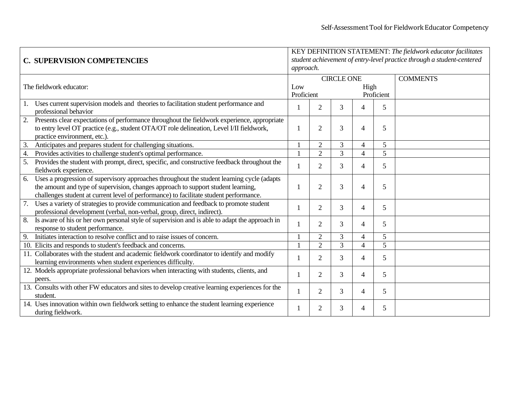|                  |                                                                                                                  | KEY DEFINITION STATEMENT: The fieldwork educator facilitates           |                     |                   |                          |            |                 |  |  |  |  |  |  |
|------------------|------------------------------------------------------------------------------------------------------------------|------------------------------------------------------------------------|---------------------|-------------------|--------------------------|------------|-----------------|--|--|--|--|--|--|
|                  | <b>C. SUPERVISION COMPETENCIES</b>                                                                               | student achievement of entry-level practice through a student-centered |                     |                   |                          |            |                 |  |  |  |  |  |  |
|                  |                                                                                                                  | approach.                                                              |                     |                   |                          |            |                 |  |  |  |  |  |  |
|                  |                                                                                                                  |                                                                        |                     | <b>CIRCLE ONE</b> |                          |            | <b>COMMENTS</b> |  |  |  |  |  |  |
|                  | The fieldwork educator:                                                                                          | Low                                                                    |                     |                   | High                     |            |                 |  |  |  |  |  |  |
|                  |                                                                                                                  | Proficient                                                             |                     |                   |                          | Proficient |                 |  |  |  |  |  |  |
|                  | 1. Uses current supervision models and theories to facilitation student performance and<br>professional behavior | 3<br>2                                                                 |                     | 4                 | 5                        |            |                 |  |  |  |  |  |  |
|                  | 2. Presents clear expectations of performance throughout the fieldwork experience, appropriate                   |                                                                        |                     |                   |                          |            |                 |  |  |  |  |  |  |
|                  | to entry level OT practice (e.g., student OTA/OT role delineation, Level I/II fieldwork,                         | $\mathbf{1}$                                                           | 2                   | 3                 | 4                        | 5          |                 |  |  |  |  |  |  |
|                  | practice environment, etc.).                                                                                     |                                                                        |                     |                   |                          |            |                 |  |  |  |  |  |  |
| 3.               | Anticipates and prepares student for challenging situations.                                                     |                                                                        | 3<br>$\overline{2}$ |                   | 4                        | 5          |                 |  |  |  |  |  |  |
| $\overline{4}$ . | Provides activities to challenge student's optimal performance.                                                  |                                                                        | $\overline{2}$      | $\overline{3}$    | $\overline{4}$           | 5          |                 |  |  |  |  |  |  |
| 5.               | Provides the student with prompt, direct, specific, and constructive feedback throughout the                     |                                                                        | $\overline{2}$      | 3                 | $\overline{4}$           | 5          |                 |  |  |  |  |  |  |
|                  | fieldwork experience.                                                                                            |                                                                        |                     |                   |                          |            |                 |  |  |  |  |  |  |
| 6.               | Uses a progression of supervisory approaches throughout the student learning cycle (adapts                       |                                                                        |                     |                   |                          |            |                 |  |  |  |  |  |  |
|                  | the amount and type of supervision, changes approach to support student learning,                                |                                                                        | $\overline{2}$      | 3                 | 4                        | 5          |                 |  |  |  |  |  |  |
|                  | challenges student at current level of performance) to facilitate student performance.                           |                                                                        |                     |                   |                          |            |                 |  |  |  |  |  |  |
|                  | 7. Uses a variety of strategies to provide communication and feedback to promote student                         |                                                                        | $\overline{2}$      | 3                 | 4                        | 5          |                 |  |  |  |  |  |  |
|                  | professional development (verbal, non-verbal, group, direct, indirect).                                          |                                                                        |                     |                   |                          |            |                 |  |  |  |  |  |  |
|                  | 8. Is aware of his or her own personal style of supervision and is able to adapt the approach in                 |                                                                        | $\overline{2}$      | 3                 | 4                        | 5          |                 |  |  |  |  |  |  |
|                  | response to student performance.                                                                                 |                                                                        |                     |                   |                          |            |                 |  |  |  |  |  |  |
| 9.               | Initiates interaction to resolve conflict and to raise issues of concern.                                        |                                                                        | $\overline{2}$      | 3                 | $\overline{\mathcal{L}}$ | 5          |                 |  |  |  |  |  |  |
|                  | 10. Elicits and responds to student's feedback and concerns.                                                     |                                                                        | 2                   | $\overline{3}$    | $\overline{4}$           | 5          |                 |  |  |  |  |  |  |
|                  | 11. Collaborates with the student and academic fieldwork coordinator to identify and modify                      |                                                                        | 2                   | 3                 | 4                        | 5          |                 |  |  |  |  |  |  |
|                  | learning environments when student experiences difficulty.                                                       |                                                                        |                     |                   |                          |            |                 |  |  |  |  |  |  |
|                  | 12. Models appropriate professional behaviors when interacting with students, clients, and                       |                                                                        | $\overline{2}$      | 3                 | 4                        | 5          |                 |  |  |  |  |  |  |
|                  | peers.                                                                                                           |                                                                        |                     |                   |                          |            |                 |  |  |  |  |  |  |
|                  | 13. Consults with other FW educators and sites to develop creative learning experiences for the                  |                                                                        | $\overline{2}$      | 3                 | 4                        | 5          |                 |  |  |  |  |  |  |
|                  | student.                                                                                                         |                                                                        |                     |                   |                          |            |                 |  |  |  |  |  |  |
|                  | 14. Uses innovation within own fieldwork setting to enhance the student learning experience                      |                                                                        | 2                   | 3                 | 4                        | 5          |                 |  |  |  |  |  |  |
|                  | during fieldwork.                                                                                                |                                                                        |                     |                   |                          |            |                 |  |  |  |  |  |  |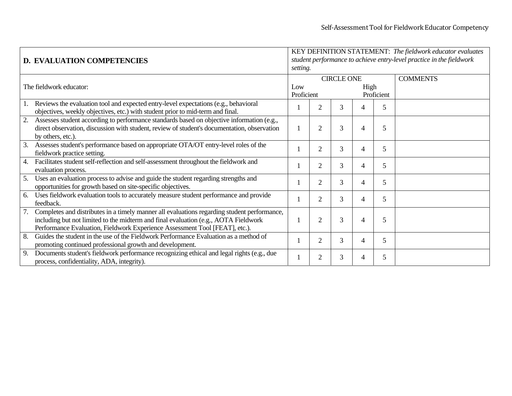|    | <b>D. EVALUATION COMPETENCIES</b>                                                                                                                                                                                                                                 | KEY DEFINITION STATEMENT: The fieldwork educator evaluates<br>student performance to achieve entry-level practice in the fieldwork<br>setting. |                |   |   |                 |  |  |
|----|-------------------------------------------------------------------------------------------------------------------------------------------------------------------------------------------------------------------------------------------------------------------|------------------------------------------------------------------------------------------------------------------------------------------------|----------------|---|---|-----------------|--|--|
|    | The fieldwork educator:                                                                                                                                                                                                                                           | <b>CIRCLE ONE</b><br>Low<br>High<br>Proficient<br>Proficient                                                                                   |                |   |   | <b>COMMENTS</b> |  |  |
| 1. | Reviews the evaluation tool and expected entry-level expectations (e.g., behavioral<br>objectives, weekly objectives, etc.) with student prior to mid-term and final.                                                                                             |                                                                                                                                                |                | 3 | 4 | 5               |  |  |
| 2. | Assesses student according to performance standards based on objective information (e.g.,<br>direct observation, discussion with student, review of student's documentation, observation<br>by others, etc.).                                                     |                                                                                                                                                | $\overline{2}$ | 3 | 4 | 5               |  |  |
| 3. | Assesses student's performance based on appropriate OTA/OT entry-level roles of the<br>fieldwork practice setting.                                                                                                                                                |                                                                                                                                                | $\overline{2}$ | 3 | 4 | 5               |  |  |
| 4. | Facilitates student self-reflection and self-assessment throughout the fieldwork and<br>evaluation process.                                                                                                                                                       |                                                                                                                                                | 2              | 3 | 4 | 5               |  |  |
| 5. | Uses an evaluation process to advise and guide the student regarding strengths and<br>opportunities for growth based on site-specific objectives.                                                                                                                 |                                                                                                                                                | $\overline{2}$ | 3 | 4 | 5               |  |  |
| 6. | Uses fieldwork evaluation tools to accurately measure student performance and provide<br>feedback.                                                                                                                                                                |                                                                                                                                                | 2              | 3 | 4 | 5               |  |  |
| 7. | Completes and distributes in a timely manner all evaluations regarding student performance,<br>including but not limited to the midterm and final evaluation (e.g., AOTA Fieldwork<br>Performance Evaluation, Fieldwork Experience Assessment Tool [FEAT], etc.). |                                                                                                                                                | 2              | 3 | 4 | 5               |  |  |
| 8. | Guides the student in the use of the Fieldwork Performance Evaluation as a method of<br>promoting continued professional growth and development.                                                                                                                  |                                                                                                                                                | 2              | 3 | 4 | 5               |  |  |
| 9. | Documents student's fieldwork performance recognizing ethical and legal rights (e.g., due<br>process, confidentiality, ADA, integrity).                                                                                                                           |                                                                                                                                                | 2              | 3 | 4 | 5               |  |  |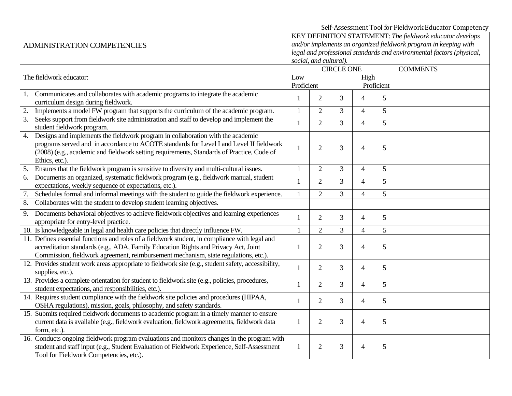Self‐Assessment Tool for Fieldwork Educator Competency

| ADMINISTRATION COMPETENCIES                                                                                                                                                                                                                                                                     | KEY DEFINITION STATEMENT: The fieldwork educator develops<br>and/or implements an organized fieldwork program in keeping with<br>legal and professional standards and environmental factors (physical,<br>social, and cultural). |                |                   |                |                 |  |  |  |
|-------------------------------------------------------------------------------------------------------------------------------------------------------------------------------------------------------------------------------------------------------------------------------------------------|----------------------------------------------------------------------------------------------------------------------------------------------------------------------------------------------------------------------------------|----------------|-------------------|----------------|-----------------|--|--|--|
|                                                                                                                                                                                                                                                                                                 |                                                                                                                                                                                                                                  |                | <b>CIRCLE ONE</b> |                | <b>COMMENTS</b> |  |  |  |
| The fieldwork educator:                                                                                                                                                                                                                                                                         | Low<br>Proficient                                                                                                                                                                                                                |                |                   | High           | Proficient      |  |  |  |
| 1. Communicates and collaborates with academic programs to integrate the academic<br>curriculum design during fieldwork.                                                                                                                                                                        | $\mathbf{1}$                                                                                                                                                                                                                     | $\overline{2}$ | $\overline{3}$    | $\overline{4}$ | 5               |  |  |  |
| 2.<br>Implements a model FW program that supports the curriculum of the academic program.                                                                                                                                                                                                       | 1                                                                                                                                                                                                                                | $\overline{2}$ | $\overline{3}$    | 4              | 5               |  |  |  |
| 3. Seeks support from fieldwork site administration and staff to develop and implement the<br>student fieldwork program.                                                                                                                                                                        | $\mathbf{1}$                                                                                                                                                                                                                     | $\overline{2}$ | 3                 | $\overline{4}$ | 5               |  |  |  |
| Designs and implements the fieldwork program in collaboration with the academic<br>4.<br>programs served and in accordance to ACOTE standards for Level I and Level II fieldwork<br>(2008) (e.g., academic and fieldwork setting requirements, Standards of Practice, Code of<br>Ethics, etc.). |                                                                                                                                                                                                                                  | $\overline{2}$ | 3                 | $\overline{4}$ | 5               |  |  |  |
| Ensures that the fieldwork program is sensitive to diversity and multi-cultural issues.<br>5.                                                                                                                                                                                                   | $\overline{2}$<br>1                                                                                                                                                                                                              |                | 3                 | $\overline{4}$ | 5               |  |  |  |
| Documents an organized, systematic fieldwork program (e.g., fieldwork manual, student<br>6.<br>expectations, weekly sequence of expectations, etc.).                                                                                                                                            | $\mathbf{1}$                                                                                                                                                                                                                     | $\overline{2}$ | 3                 | $\overline{4}$ | 5               |  |  |  |
| Schedules formal and informal meetings with the student to guide the fieldwork experience.<br>7.                                                                                                                                                                                                | 1                                                                                                                                                                                                                                | $\overline{2}$ | 3                 | $\overline{4}$ | 5               |  |  |  |
| Collaborates with the student to develop student learning objectives.<br>8.                                                                                                                                                                                                                     |                                                                                                                                                                                                                                  |                |                   |                |                 |  |  |  |
| Documents behavioral objectives to achieve fieldwork objectives and learning experiences<br>9.<br>appropriate for entry-level practice.                                                                                                                                                         | 1                                                                                                                                                                                                                                | $\overline{2}$ | 3                 | $\overline{4}$ | 5               |  |  |  |
| 10. Is knowledgeable in legal and health care policies that directly influence FW.                                                                                                                                                                                                              |                                                                                                                                                                                                                                  | $\overline{2}$ | 3                 | $\overline{4}$ | 5               |  |  |  |
| 11. Defines essential functions and roles of a fieldwork student, in compliance with legal and<br>accreditation standards (e.g., ADA, Family Education Rights and Privacy Act, Joint<br>Commission, fieldwork agreement, reimbursement mechanism, state regulations, etc.).                     | 1                                                                                                                                                                                                                                | 2              | 3                 | $\overline{4}$ | 5               |  |  |  |
| 12. Provides student work areas appropriate to fieldwork site (e.g., student safety, accessibility,<br>supplies, etc.).                                                                                                                                                                         | $\mathbf{1}$                                                                                                                                                                                                                     | $\overline{2}$ | 3                 | $\overline{4}$ | 5               |  |  |  |
| 13. Provides a complete orientation for student to fieldwork site (e.g., policies, procedures,<br>student expectations, and responsibilities, etc.).                                                                                                                                            | 1                                                                                                                                                                                                                                | 2              | $\overline{3}$    | $\overline{4}$ | $5\overline{)}$ |  |  |  |
| 14. Requires student compliance with the fieldwork site policies and procedures (HIPAA,<br>OSHA regulations), mission, goals, philosophy, and safety standards.                                                                                                                                 | 1                                                                                                                                                                                                                                | 2              | 3                 | $\overline{4}$ | 5               |  |  |  |
| 15. Submits required fieldwork documents to academic program in a timely manner to ensure<br>current data is available (e.g., fieldwork evaluation, fieldwork agreements, fieldwork data<br>form, etc.).                                                                                        | $\mathbf{1}$                                                                                                                                                                                                                     | $\overline{2}$ | 3                 | $\overline{4}$ | 5               |  |  |  |
| 16. Conducts ongoing fieldwork program evaluations and monitors changes in the program with<br>student and staff input (e.g., Student Evaluation of Fieldwork Experience, Self-Assessment<br>Tool for Fieldwork Competencies, etc.).                                                            | $\mathbf{1}$                                                                                                                                                                                                                     | $\overline{2}$ | 3                 | $\overline{4}$ | 5               |  |  |  |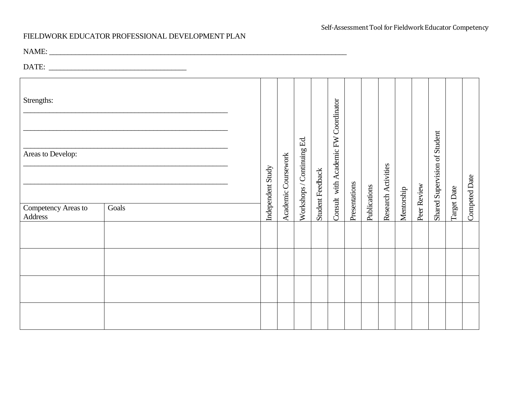#### FIELDWORK EDUCATOR PROFESSIONAL DEVELOPMENT PLAN

NAME: \_\_\_\_\_\_\_\_\_\_\_\_\_\_\_\_\_\_\_\_\_\_\_\_\_\_\_\_\_\_\_\_\_\_\_\_\_\_\_\_\_\_\_\_\_\_\_\_\_\_\_\_\_\_\_\_\_\_\_\_\_\_\_\_\_\_\_\_\_\_\_\_\_\_\_\_\_\_\_\_

DATE: \_\_\_\_\_\_\_\_\_\_\_\_\_\_\_\_\_\_\_\_\_\_\_\_\_\_\_\_\_\_\_\_\_\_\_\_\_

| Strengths:                                          |       |                   |  |                     |                            | Coordinator      |                          |               |              |                     |            |             |                               |             |               |
|-----------------------------------------------------|-------|-------------------|--|---------------------|----------------------------|------------------|--------------------------|---------------|--------------|---------------------|------------|-------------|-------------------------------|-------------|---------------|
| Areas to Develop:<br>Competency Areas to<br>Address | Goals | Independent Study |  | Academic Coursework | Workshops / Continuing Ed. | Student Feedback | Consult with Academic FW | Presentations | Publications | Research Activities | Mentorship | Peer Review | Shared Supervision of Student | Target Date | Competed Date |
|                                                     |       |                   |  |                     |                            |                  |                          |               |              |                     |            |             |                               |             |               |
|                                                     |       |                   |  |                     |                            |                  |                          |               |              |                     |            |             |                               |             |               |
|                                                     |       |                   |  |                     |                            |                  |                          |               |              |                     |            |             |                               |             |               |
|                                                     |       |                   |  |                     |                            |                  |                          |               |              |                     |            |             |                               |             |               |